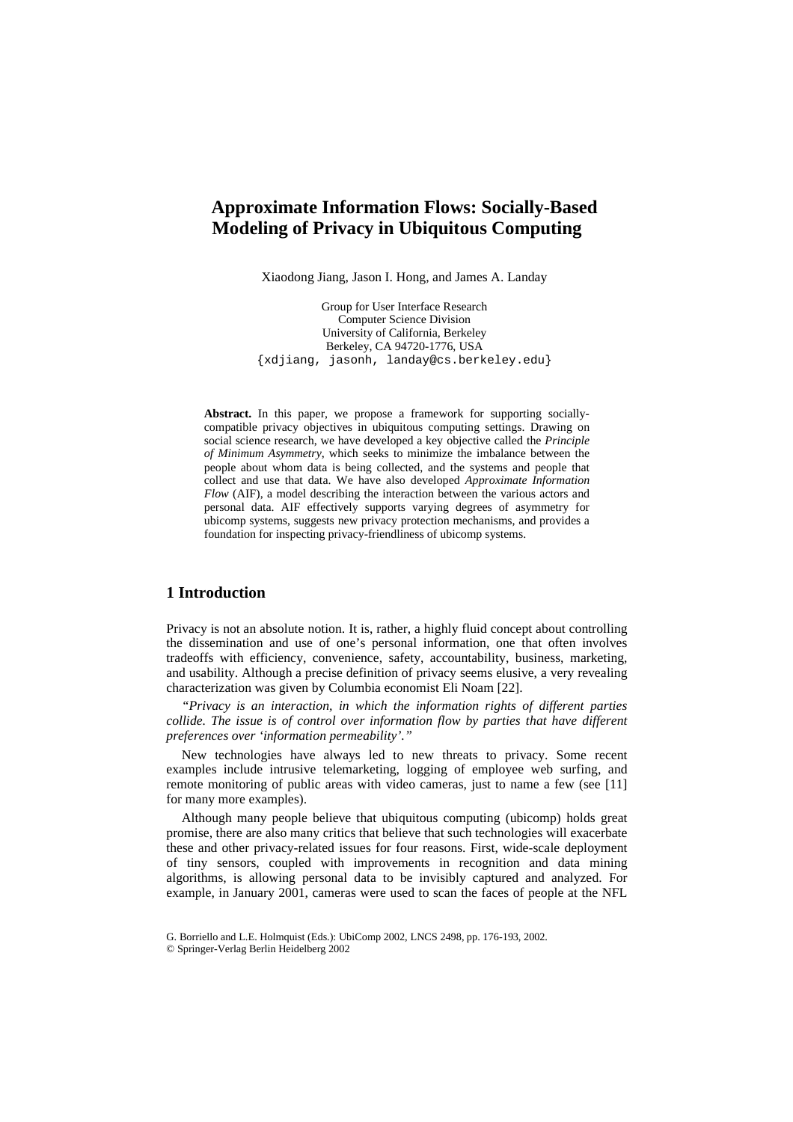# **Approximate Information Flows: Socially-Based Modeling of Privacy in Ubiquitous Computing**

Xiaodong Jiang, Jason I. Hong, and James A. Landay

Group for User Interface Research Computer Science Division University of California, Berkeley Berkeley, CA 94720-1776, USA {xdjiang, jasonh, landay@cs.berkeley.edu}

**Abstract.** In this paper, we propose a framework for supporting sociallycompatible privacy objectives in ubiquitous computing settings. Drawing on social science research, we have developed a key objective called the *Principle of Minimum Asymmetry*, which seeks to minimize the imbalance between the people about whom data is being collected, and the systems and people that collect and use that data. We have also developed *Approximate Information Flow* (AIF), a model describing the interaction between the various actors and personal data. AIF effectively supports varying degrees of asymmetry for ubicomp systems, suggests new privacy protection mechanisms, and provides a foundation for inspecting privacy-friendliness of ubicomp systems.

### **1 Introduction**

Privacy is not an absolute notion. It is, rather, a highly fluid concept about controlling the dissemination and use of one's personal information, one that often involves tradeoffs with efficiency, convenience, safety, accountability, business, marketing, and usability. Although a precise definition of privacy seems elusive, a very revealing characterization was given by Columbia economist Eli Noam [22].

*"Privacy is an interaction, in which the information rights of different parties collide. The issue is of control over information flow by parties that have different preferences over 'information permeability'."*

New technologies have always led to new threats to privacy. Some recent examples include intrusive telemarketing, logging of employee web surfing, and remote monitoring of public areas with video cameras, just to name a few (see [11] for many more examples).

Although many people believe that ubiquitous computing (ubicomp) holds great promise, there are also many critics that believe that such technologies will exacerbate these and other privacy-related issues for four reasons. First, wide-scale deployment of tiny sensors, coupled with improvements in recognition and data mining algorithms, is allowing personal data to be invisibly captured and analyzed. For example, in January 2001, cameras were used to scan the faces of people at the NFL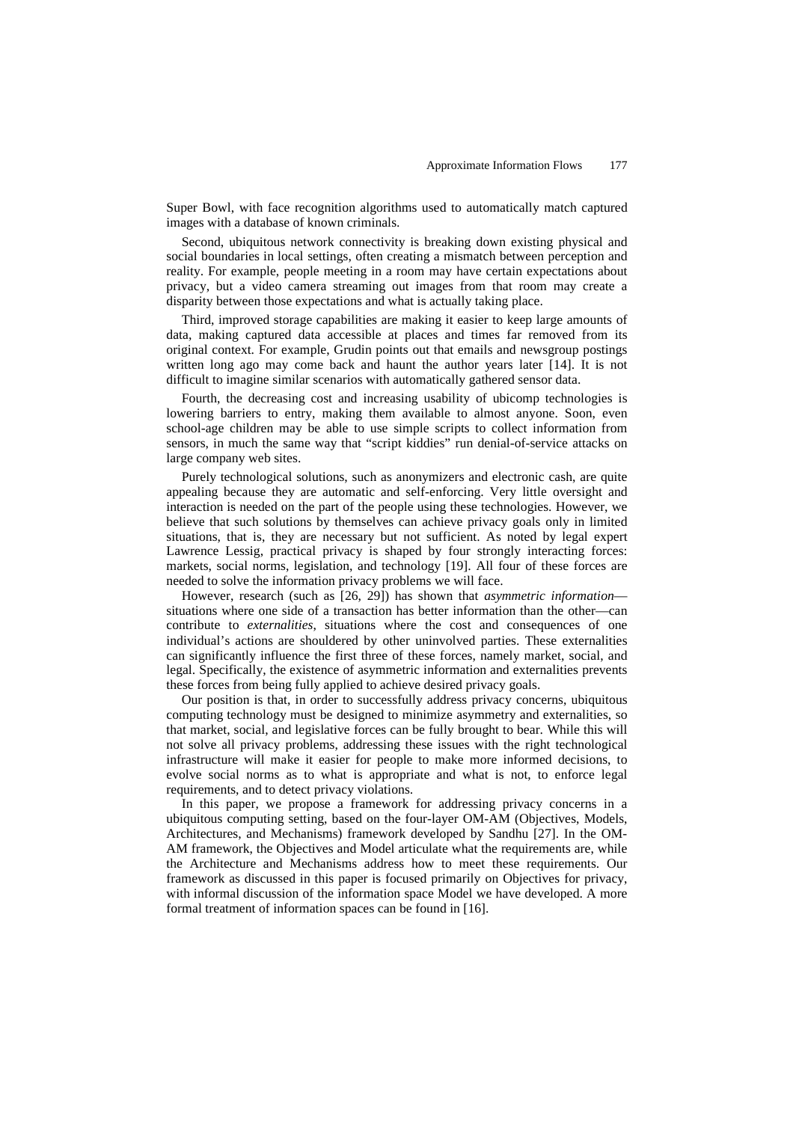Super Bowl, with face recognition algorithms used to automatically match captured images with a database of known criminals.

Second, ubiquitous network connectivity is breaking down existing physical and social boundaries in local settings, often creating a mismatch between perception and reality. For example, people meeting in a room may have certain expectations about privacy, but a video camera streaming out images from that room may create a disparity between those expectations and what is actually taking place.

Third, improved storage capabilities are making it easier to keep large amounts of data, making captured data accessible at places and times far removed from its original context. For example, Grudin points out that emails and newsgroup postings written long ago may come back and haunt the author years later [14]. It is not difficult to imagine similar scenarios with automatically gathered sensor data.

Fourth, the decreasing cost and increasing usability of ubicomp technologies is lowering barriers to entry, making them available to almost anyone. Soon, even school-age children may be able to use simple scripts to collect information from sensors, in much the same way that "script kiddies" run denial-of-service attacks on large company web sites.

Purely technological solutions, such as anonymizers and electronic cash, are quite appealing because they are automatic and self-enforcing. Very little oversight and interaction is needed on the part of the people using these technologies. However, we believe that such solutions by themselves can achieve privacy goals only in limited situations, that is, they are necessary but not sufficient. As noted by legal expert Lawrence Lessig, practical privacy is shaped by four strongly interacting forces: markets, social norms, legislation, and technology [19]. All four of these forces are needed to solve the information privacy problems we will face.

However, research (such as [26, 29]) has shown that *asymmetric information* situations where one side of a transaction has better information than the other—can contribute to *externalities*, situations where the cost and consequences of one individual's actions are shouldered by other uninvolved parties. These externalities can significantly influence the first three of these forces, namely market, social, and legal. Specifically, the existence of asymmetric information and externalities prevents these forces from being fully applied to achieve desired privacy goals.

Our position is that, in order to successfully address privacy concerns, ubiquitous computing technology must be designed to minimize asymmetry and externalities, so that market, social, and legislative forces can be fully brought to bear. While this will not solve all privacy problems, addressing these issues with the right technological infrastructure will make it easier for people to make more informed decisions, to evolve social norms as to what is appropriate and what is not, to enforce legal requirements, and to detect privacy violations.

In this paper, we propose a framework for addressing privacy concerns in a ubiquitous computing setting, based on the four-layer OM-AM (Objectives, Models, Architectures, and Mechanisms) framework developed by Sandhu [27]. In the OM-AM framework, the Objectives and Model articulate what the requirements are, while the Architecture and Mechanisms address how to meet these requirements. Our framework as discussed in this paper is focused primarily on Objectives for privacy, with informal discussion of the information space Model we have developed. A more formal treatment of information spaces can be found in [16].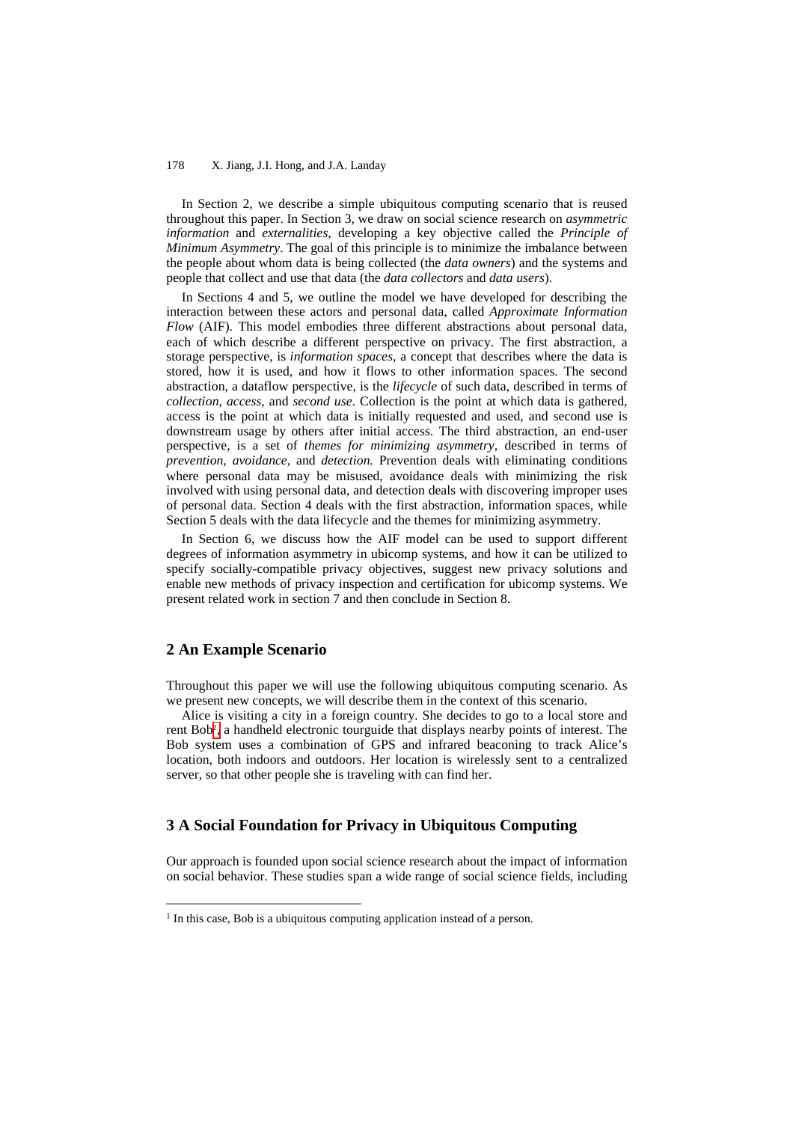In Section 2, we describe a simple ubiquitous computing scenario that is reused throughout this paper. In Section 3, we draw on social science research on *asymmetric information* and *externalities*, developing a key objective called the *Principle of Minimum Asymmetry*. The goal of this principle is to minimize the imbalance between the people about whom data is being collected (the *data owners*) and the systems and people that collect and use that data (the *data collectors* and *data users*).

In Sections 4 and 5, we outline the model we have developed for describing the interaction between these actors and personal data, called *Approximate Information Flow* (AIF). This model embodies three different abstractions about personal data, each of which describe a different perspective on privacy. The first abstraction, a storage perspective, is *information spaces*, a concept that describes where the data is stored, how it is used, and how it flows to other information spaces. The second abstraction, a dataflow perspective, is the *lifecycle* of such data, described in terms of *collection*, *access*, and *second use*. Collection is the point at which data is gathered, access is the point at which data is initially requested and used, and second use is downstream usage by others after initial access. The third abstraction, an end-user perspective, is a set of *themes for minimizing asymmetry*, described in terms of *prevention*, *avoidance*, and *detection.* Prevention deals with eliminating conditions where personal data may be misused, avoidance deals with minimizing the risk involved with using personal data, and detection deals with discovering improper uses of personal data. Section 4 deals with the first abstraction, information spaces, while Section 5 deals with the data lifecycle and the themes for minimizing asymmetry.

In Section 6, we discuss how the AIF model can be used to support different degrees of information asymmetry in ubicomp systems, and how it can be utilized to specify socially-compatible privacy objectives, suggest new privacy solutions and enable new methods of privacy inspection and certification for ubicomp systems. We present related work in section 7 and then conclude in Section 8.

### **2 An Example Scenario**

Throughout this paper we will use the following ubiquitous computing scenario. As we present new concepts, we will describe them in the context of this scenario.

Alice is visiting a city in a foreign country. She decides to go to a local store and rent Bob*1*, a handheld electronic tourguide that displays nearby points of interest. The Bob system uses a combination of GPS and infrared beaconing to track Alice's location, both indoors and outdoors. Her location is wirelessly sent to a centralized server, so that other people she is traveling with can find her.

### **3 A Social Foundation for Privacy in Ubiquitous Computing**

Our approach is founded upon social science research about the impact of information on social behavior. These studies span a wide range of social science fields, including

<sup>&</sup>lt;sup>1</sup> In this case, Bob is a ubiquitous computing application instead of a person.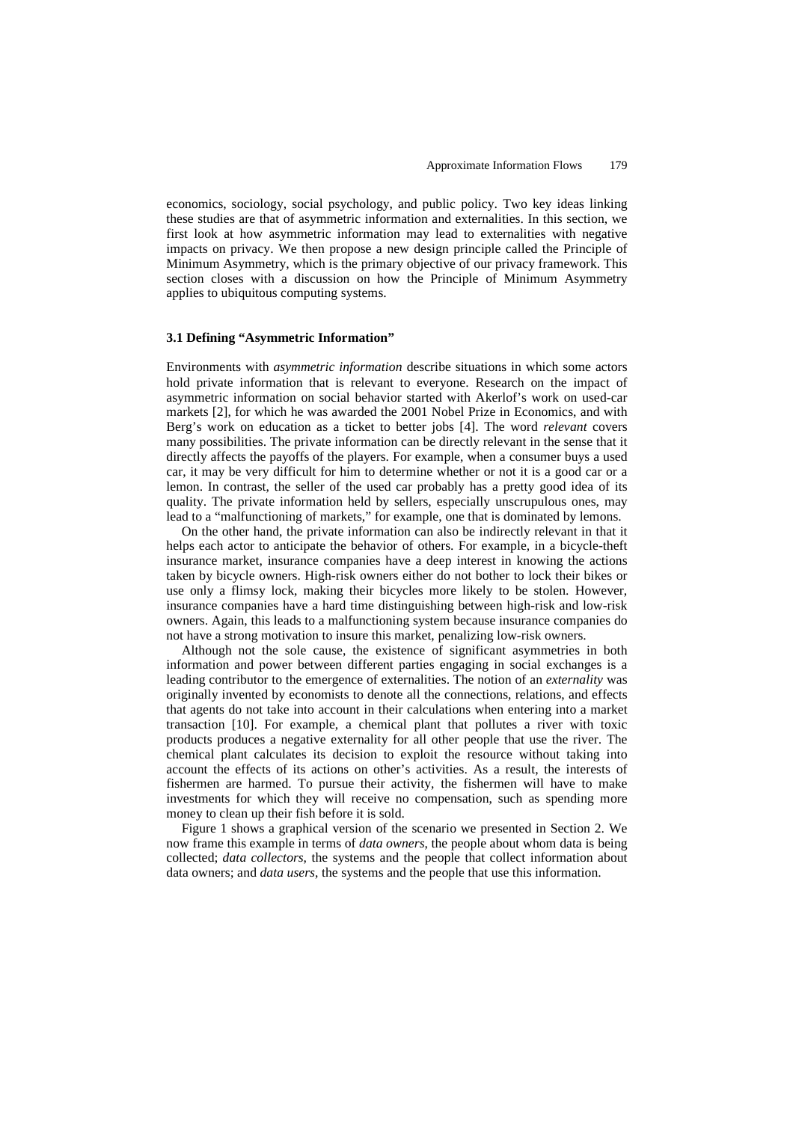economics, sociology, social psychology, and public policy. Two key ideas linking these studies are that of asymmetric information and externalities. In this section, we first look at how asymmetric information may lead to externalities with negative impacts on privacy. We then propose a new design principle called the Principle of Minimum Asymmetry, which is the primary objective of our privacy framework. This section closes with a discussion on how the Principle of Minimum Asymmetry applies to ubiquitous computing systems.

#### **3.1 Defining "Asymmetric Information"**

Environments with *asymmetric information* describe situations in which some actors hold private information that is relevant to everyone. Research on the impact of asymmetric information on social behavior started with Akerlof's work on used-car markets [2], for which he was awarded the 2001 Nobel Prize in Economics, and with Berg's work on education as a ticket to better jobs [4]. The word *relevant* covers many possibilities. The private information can be directly relevant in the sense that it directly affects the payoffs of the players. For example, when a consumer buys a used car, it may be very difficult for him to determine whether or not it is a good car or a lemon. In contrast, the seller of the used car probably has a pretty good idea of its quality. The private information held by sellers, especially unscrupulous ones, may lead to a "malfunctioning of markets," for example, one that is dominated by lemons.

On the other hand, the private information can also be indirectly relevant in that it helps each actor to anticipate the behavior of others. For example, in a bicycle-theft insurance market, insurance companies have a deep interest in knowing the actions taken by bicycle owners. High-risk owners either do not bother to lock their bikes or use only a flimsy lock, making their bicycles more likely to be stolen. However, insurance companies have a hard time distinguishing between high-risk and low-risk owners. Again, this leads to a malfunctioning system because insurance companies do not have a strong motivation to insure this market, penalizing low-risk owners.

Although not the sole cause, the existence of significant asymmetries in both information and power between different parties engaging in social exchanges is a leading contributor to the emergence of externalities. The notion of an *externality* was originally invented by economists to denote all the connections, relations, and effects that agents do not take into account in their calculations when entering into a market transaction [10]. For example, a chemical plant that pollutes a river with toxic products produces a negative externality for all other people that use the river. The chemical plant calculates its decision to exploit the resource without taking into account the effects of its actions on other's activities. As a result, the interests of fishermen are harmed. To pursue their activity, the fishermen will have to make investments for which they will receive no compensation, such as spending more money to clean up their fish before it is sold.

Figure 1 shows a graphical version of the scenario we presented in Section 2. We now frame this example in terms of *data owners*, the people about whom data is being collected; *data collectors*, the systems and the people that collect information about data owners; and *data users*, the systems and the people that use this information.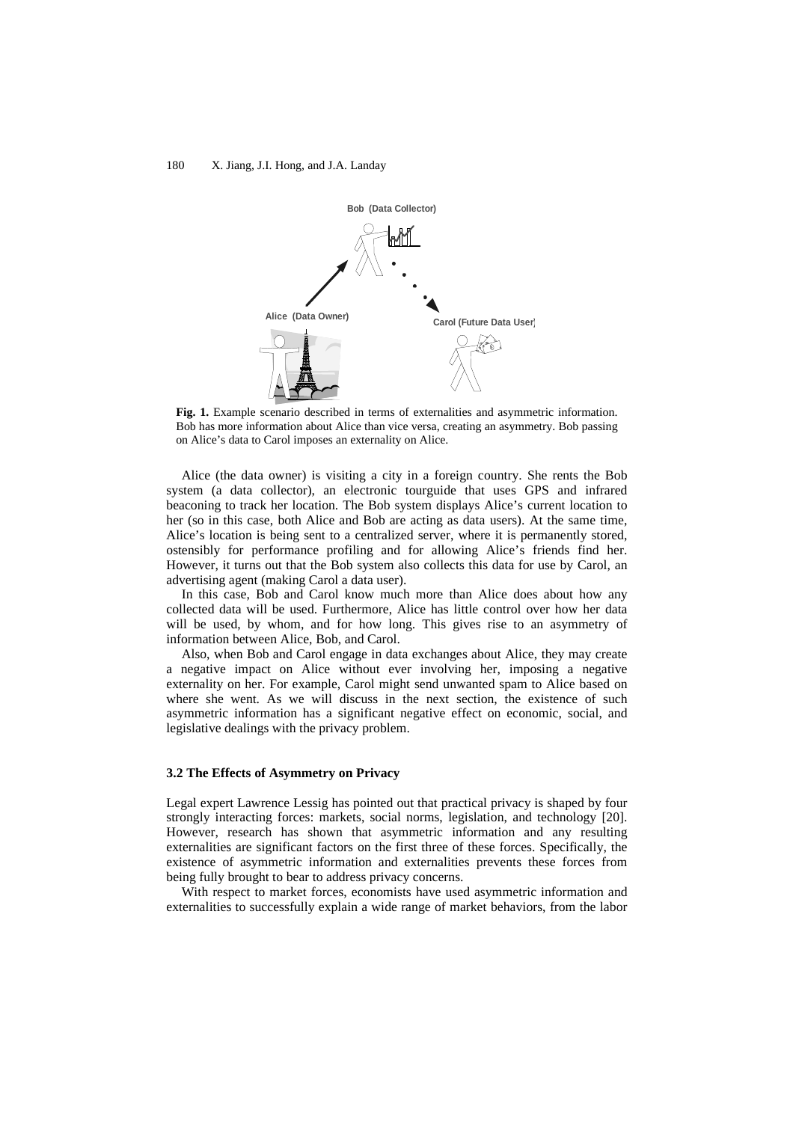

**Fig. 1.** Example scenario described in terms of externalities and asymmetric information. Bob has more information about Alice than vice versa, creating an asymmetry. Bob passing on Alice's data to Carol imposes an externality on Alice.

Alice (the data owner) is visiting a city in a foreign country. She rents the Bob system (a data collector), an electronic tourguide that uses GPS and infrared beaconing to track her location. The Bob system displays Alice's current location to her (so in this case, both Alice and Bob are acting as data users). At the same time, Alice's location is being sent to a centralized server, where it is permanently stored, ostensibly for performance profiling and for allowing Alice's friends find her. However, it turns out that the Bob system also collects this data for use by Carol, an advertising agent (making Carol a data user).

In this case, Bob and Carol know much more than Alice does about how any collected data will be used. Furthermore, Alice has little control over how her data will be used, by whom, and for how long. This gives rise to an asymmetry of information between Alice, Bob, and Carol.

Also, when Bob and Carol engage in data exchanges about Alice, they may create a negative impact on Alice without ever involving her, imposing a negative externality on her. For example, Carol might send unwanted spam to Alice based on where she went. As we will discuss in the next section, the existence of such asymmetric information has a significant negative effect on economic, social, and legislative dealings with the privacy problem.

#### **3.2 The Effects of Asymmetry on Privacy**

Legal expert Lawrence Lessig has pointed out that practical privacy is shaped by four strongly interacting forces: markets, social norms, legislation, and technology [20]. However, research has shown that asymmetric information and any resulting externalities are significant factors on the first three of these forces. Specifically, the existence of asymmetric information and externalities prevents these forces from being fully brought to bear to address privacy concerns.

With respect to market forces, economists have used asymmetric information and externalities to successfully explain a wide range of market behaviors, from the labor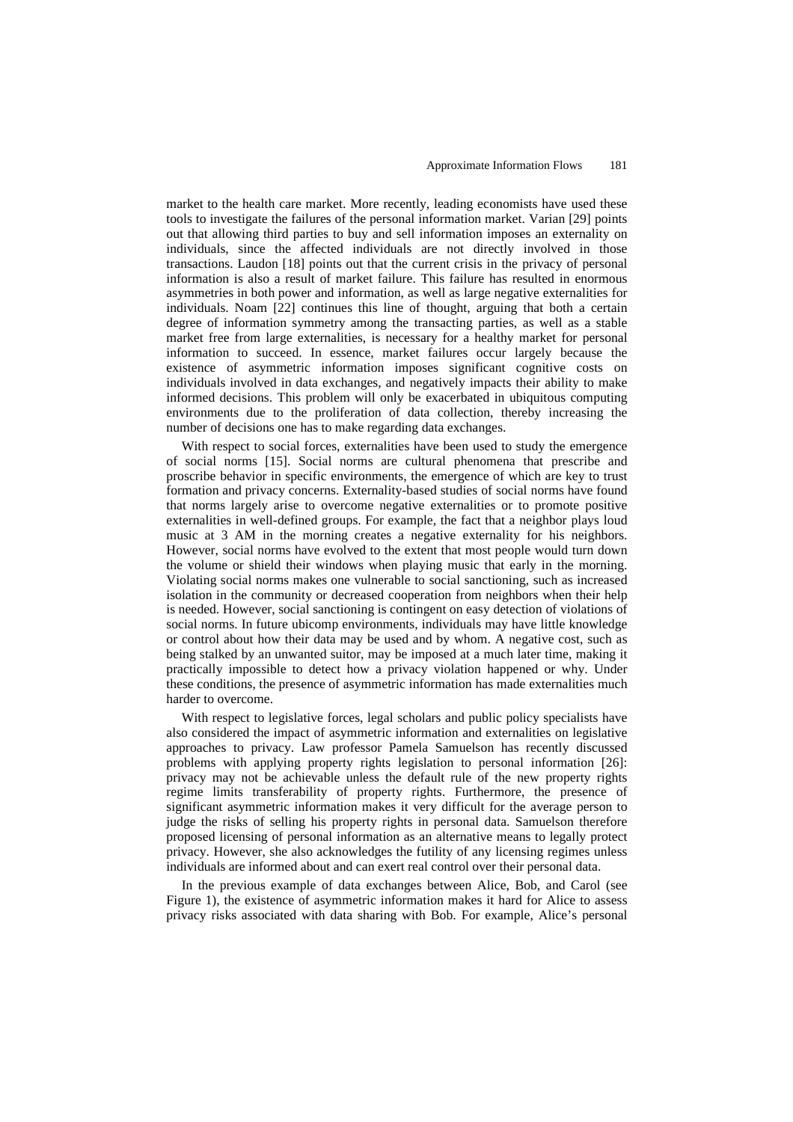market to the health care market. More recently, leading economists have used these tools to investigate the failures of the personal information market. Varian [29] points out that allowing third parties to buy and sell information imposes an externality on individuals, since the affected individuals are not directly involved in those transactions. Laudon [18] points out that the current crisis in the privacy of personal information is also a result of market failure. This failure has resulted in enormous asymmetries in both power and information, as well as large negative externalities for individuals. Noam [22] continues this line of thought, arguing that both a certain degree of information symmetry among the transacting parties, as well as a stable market free from large externalities, is necessary for a healthy market for personal information to succeed. In essence, market failures occur largely because the existence of asymmetric information imposes significant cognitive costs on individuals involved in data exchanges, and negatively impacts their ability to make informed decisions. This problem will only be exacerbated in ubiquitous computing environments due to the proliferation of data collection, thereby increasing the number of decisions one has to make regarding data exchanges.

With respect to social forces, externalities have been used to study the emergence of social norms [15]. Social norms are cultural phenomena that prescribe and proscribe behavior in specific environments, the emergence of which are key to trust formation and privacy concerns. Externality-based studies of social norms have found that norms largely arise to overcome negative externalities or to promote positive externalities in well-defined groups. For example, the fact that a neighbor plays loud music at 3 AM in the morning creates a negative externality for his neighbors. However, social norms have evolved to the extent that most people would turn down the volume or shield their windows when playing music that early in the morning. Violating social norms makes one vulnerable to social sanctioning, such as increased isolation in the community or decreased cooperation from neighbors when their help is needed. However, social sanctioning is contingent on easy detection of violations of social norms. In future ubicomp environments, individuals may have little knowledge or control about how their data may be used and by whom. A negative cost, such as being stalked by an unwanted suitor, may be imposed at a much later time, making it practically impossible to detect how a privacy violation happened or why. Under these conditions, the presence of asymmetric information has made externalities much harder to overcome.

With respect to legislative forces, legal scholars and public policy specialists have also considered the impact of asymmetric information and externalities on legislative approaches to privacy. Law professor Pamela Samuelson has recently discussed problems with applying property rights legislation to personal information [26]: privacy may not be achievable unless the default rule of the new property rights regime limits transferability of property rights. Furthermore, the presence of significant asymmetric information makes it very difficult for the average person to judge the risks of selling his property rights in personal data. Samuelson therefore proposed licensing of personal information as an alternative means to legally protect privacy. However, she also acknowledges the futility of any licensing regimes unless individuals are informed about and can exert real control over their personal data.

In the previous example of data exchanges between Alice, Bob, and Carol (see Figure 1), the existence of asymmetric information makes it hard for Alice to assess privacy risks associated with data sharing with Bob. For example, Alice's personal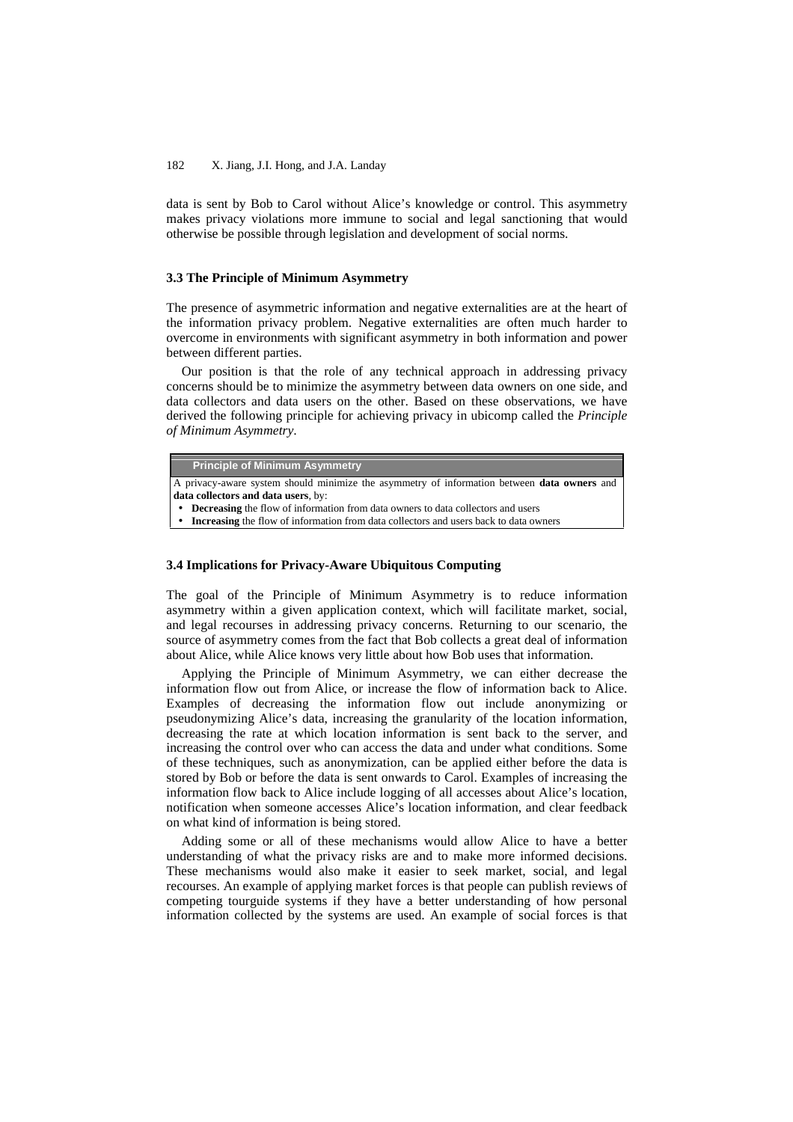data is sent by Bob to Carol without Alice's knowledge or control. This asymmetry makes privacy violations more immune to social and legal sanctioning that would otherwise be possible through legislation and development of social norms.

### **3.3 The Principle of Minimum Asymmetry**

The presence of asymmetric information and negative externalities are at the heart of the information privacy problem. Negative externalities are often much harder to overcome in environments with significant asymmetry in both information and power between different parties.

Our position is that the role of any technical approach in addressing privacy concerns should be to minimize the asymmetry between data owners on one side, and data collectors and data users on the other. Based on these observations, we have derived the following principle for achieving privacy in ubicomp called the *Principle of Minimum Asymmetry*.

#### **Principle of Minimum Asymmetry**

A privacy-aware system should minimize the asymmetry of information between **data owners** and **data collectors and data users**, by:

• **Decreasing** the flow of information from data owners to data collectors and users

• **Increasing** the flow of information from data collectors and users back to data owners

#### **3.4 Implications for Privacy-Aware Ubiquitous Computing**

The goal of the Principle of Minimum Asymmetry is to reduce information asymmetry within a given application context, which will facilitate market, social, and legal recourses in addressing privacy concerns. Returning to our scenario, the source of asymmetry comes from the fact that Bob collects a great deal of information about Alice, while Alice knows very little about how Bob uses that information.

Applying the Principle of Minimum Asymmetry, we can either decrease the information flow out from Alice, or increase the flow of information back to Alice. Examples of decreasing the information flow out include anonymizing or pseudonymizing Alice's data, increasing the granularity of the location information, decreasing the rate at which location information is sent back to the server, and increasing the control over who can access the data and under what conditions. Some of these techniques, such as anonymization, can be applied either before the data is stored by Bob or before the data is sent onwards to Carol. Examples of increasing the information flow back to Alice include logging of all accesses about Alice's location, notification when someone accesses Alice's location information, and clear feedback on what kind of information is being stored.

Adding some or all of these mechanisms would allow Alice to have a better understanding of what the privacy risks are and to make more informed decisions. These mechanisms would also make it easier to seek market, social, and legal recourses. An example of applying market forces is that people can publish reviews of competing tourguide systems if they have a better understanding of how personal information collected by the systems are used. An example of social forces is that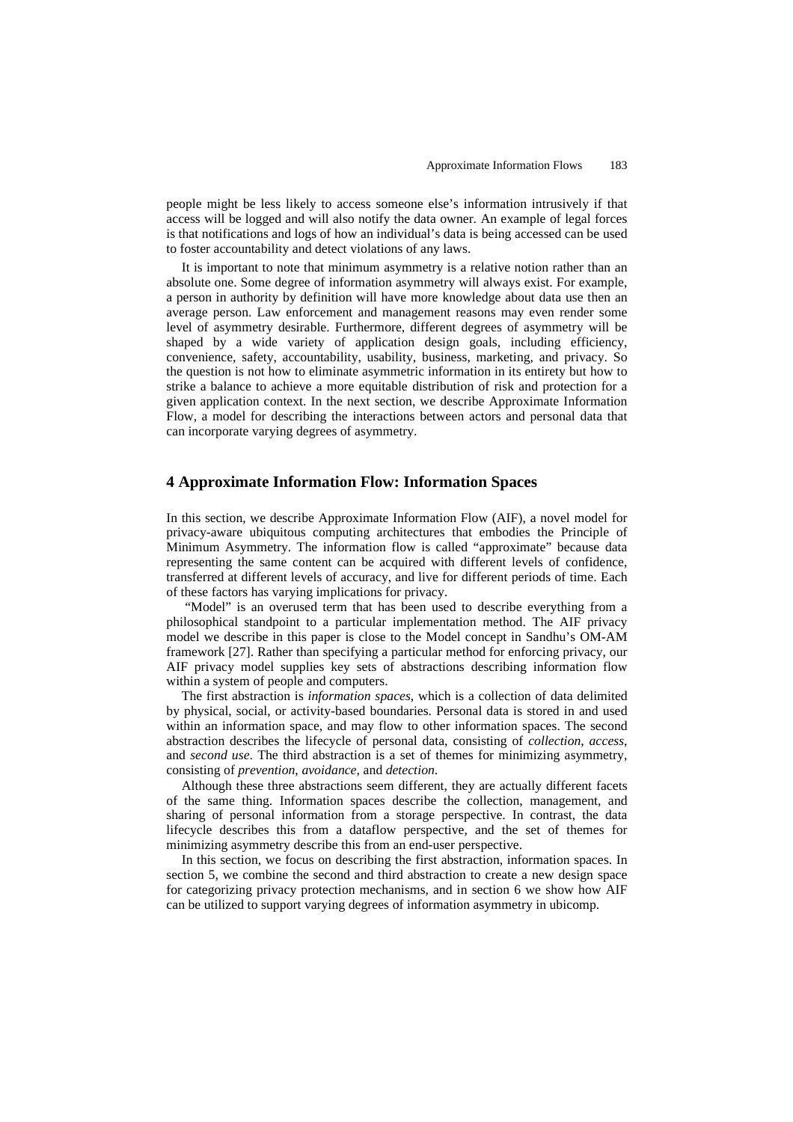people might be less likely to access someone else's information intrusively if that access will be logged and will also notify the data owner. An example of legal forces is that notifications and logs of how an individual's data is being accessed can be used to foster accountability and detect violations of any laws.

It is important to note that minimum asymmetry is a relative notion rather than an absolute one. Some degree of information asymmetry will always exist. For example, a person in authority by definition will have more knowledge about data use then an average person. Law enforcement and management reasons may even render some level of asymmetry desirable. Furthermore, different degrees of asymmetry will be shaped by a wide variety of application design goals, including efficiency, convenience, safety, accountability, usability, business, marketing, and privacy. So the question is not how to eliminate asymmetric information in its entirety but how to strike a balance to achieve a more equitable distribution of risk and protection for a given application context. In the next section, we describe Approximate Information Flow, a model for describing the interactions between actors and personal data that can incorporate varying degrees of asymmetry.

### **4 Approximate Information Flow: Information Spaces**

In this section, we describe Approximate Information Flow (AIF), a novel model for privacy-aware ubiquitous computing architectures that embodies the Principle of Minimum Asymmetry. The information flow is called "approximate" because data representing the same content can be acquired with different levels of confidence, transferred at different levels of accuracy, and live for different periods of time. Each of these factors has varying implications for privacy.

"Model" is an overused term that has been used to describe everything from a philosophical standpoint to a particular implementation method. The AIF privacy model we describe in this paper is close to the Model concept in Sandhu's OM-AM framework [27]. Rather than specifying a particular method for enforcing privacy, our AIF privacy model supplies key sets of abstractions describing information flow within a system of people and computers.

The first abstraction is *information spaces*, which is a collection of data delimited by physical, social, or activity-based boundaries. Personal data is stored in and used within an information space, and may flow to other information spaces. The second abstraction describes the lifecycle of personal data, consisting of *collection*, *access*, and *second use*. The third abstraction is a set of themes for minimizing asymmetry, consisting of *prevention*, *avoidance*, and *detection*.

Although these three abstractions seem different, they are actually different facets of the same thing. Information spaces describe the collection, management, and sharing of personal information from a storage perspective. In contrast, the data lifecycle describes this from a dataflow perspective, and the set of themes for minimizing asymmetry describe this from an end-user perspective.

In this section, we focus on describing the first abstraction, information spaces. In section 5, we combine the second and third abstraction to create a new design space for categorizing privacy protection mechanisms, and in section 6 we show how AIF can be utilized to support varying degrees of information asymmetry in ubicomp.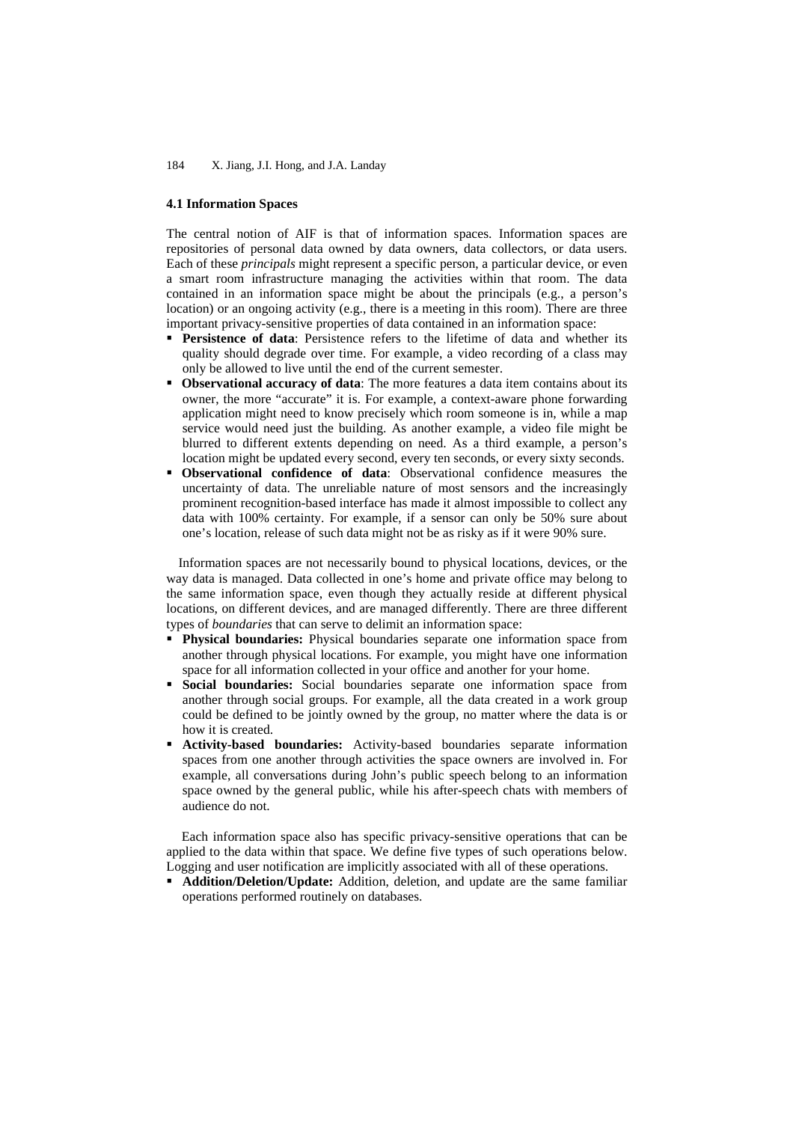### **4.1 Information Spaces**

The central notion of AIF is that of information spaces. Information spaces are repositories of personal data owned by data owners, data collectors, or data users. Each of these *principals* might represent a specific person, a particular device, or even a smart room infrastructure managing the activities within that room. The data contained in an information space might be about the principals (e.g., a person's location) or an ongoing activity (e.g., there is a meeting in this room). There are three important privacy-sensitive properties of data contained in an information space:

- **Persistence of data:** Persistence refers to the lifetime of data and whether its quality should degrade over time. For example, a video recording of a class may only be allowed to live until the end of the current semester.
- **Observational accuracy of data**: The more features a data item contains about its owner, the more "accurate" it is. For example, a context-aware phone forwarding application might need to know precisely which room someone is in, while a map service would need just the building. As another example, a video file might be blurred to different extents depending on need. As a third example, a person's location might be updated every second, every ten seconds, or every sixty seconds.
- **Observational confidence of data**: Observational confidence measures the uncertainty of data. The unreliable nature of most sensors and the increasingly prominent recognition-based interface has made it almost impossible to collect any data with 100% certainty. For example, if a sensor can only be 50% sure about one's location, release of such data might not be as risky as if it were 90% sure.

Information spaces are not necessarily bound to physical locations, devices, or the way data is managed. Data collected in one's home and private office may belong to the same information space, even though they actually reside at different physical locations, on different devices, and are managed differently. There are three different types of *boundaries* that can serve to delimit an information space:

- **Physical boundaries:** Physical boundaries separate one information space from another through physical locations. For example, you might have one information space for all information collected in your office and another for your home.
- **Social boundaries:** Social boundaries separate one information space from another through social groups. For example, all the data created in a work group could be defined to be jointly owned by the group, no matter where the data is or how it is created.
- **Activity-based boundaries:** Activity-based boundaries separate information spaces from one another through activities the space owners are involved in. For example, all conversations during John's public speech belong to an information space owned by the general public, while his after-speech chats with members of audience do not.

Each information space also has specific privacy-sensitive operations that can be applied to the data within that space. We define five types of such operations below. Logging and user notification are implicitly associated with all of these operations.

**Addition/Deletion/Update:** Addition, deletion, and update are the same familiar operations performed routinely on databases.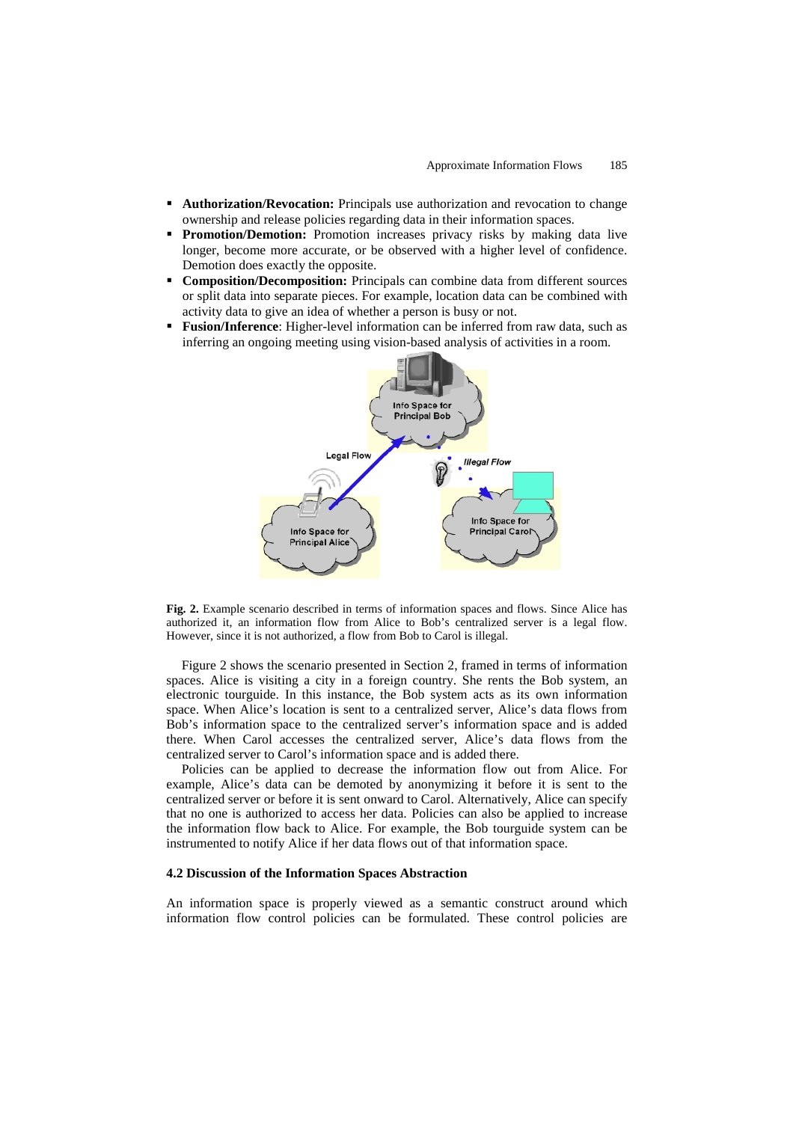- **Authorization/Revocation:** Principals use authorization and revocation to change ownership and release policies regarding data in their information spaces.
- **Promotion/Demotion:** Promotion increases privacy risks by making data live longer, become more accurate, or be observed with a higher level of confidence. Demotion does exactly the opposite.
- **Composition/Decomposition:** Principals can combine data from different sources or split data into separate pieces. For example, location data can be combined with activity data to give an idea of whether a person is busy or not.
- **Fusion/Inference**: Higher-level information can be inferred from raw data, such as inferring an ongoing meeting using vision-based analysis of activities in a room.



**Fig. 2.** Example scenario described in terms of information spaces and flows. Since Alice has authorized it, an information flow from Alice to Bob's centralized server is a legal flow. However, since it is not authorized, a flow from Bob to Carol is illegal.

Figure 2 shows the scenario presented in Section 2, framed in terms of information spaces. Alice is visiting a city in a foreign country. She rents the Bob system, an electronic tourguide. In this instance, the Bob system acts as its own information space. When Alice's location is sent to a centralized server, Alice's data flows from Bob's information space to the centralized server's information space and is added there. When Carol accesses the centralized server, Alice's data flows from the centralized server to Carol's information space and is added there.

Policies can be applied to decrease the information flow out from Alice. For example, Alice's data can be demoted by anonymizing it before it is sent to the centralized server or before it is sent onward to Carol. Alternatively, Alice can specify that no one is authorized to access her data. Policies can also be applied to increase the information flow back to Alice. For example, the Bob tourguide system can be instrumented to notify Alice if her data flows out of that information space.

#### **4.2 Discussion of the Information Spaces Abstraction**

An information space is properly viewed as a semantic construct around which information flow control policies can be formulated. These control policies are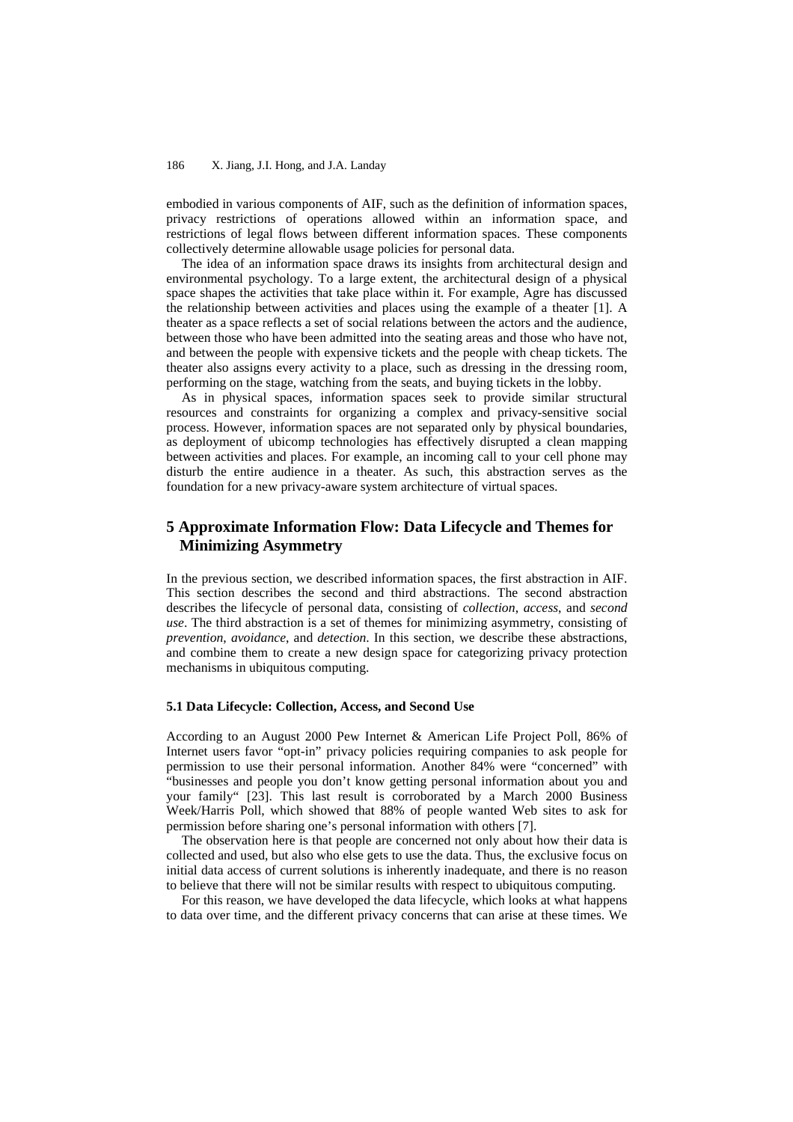embodied in various components of AIF, such as the definition of information spaces, privacy restrictions of operations allowed within an information space, and restrictions of legal flows between different information spaces. These components collectively determine allowable usage policies for personal data.

The idea of an information space draws its insights from architectural design and environmental psychology. To a large extent, the architectural design of a physical space shapes the activities that take place within it. For example, Agre has discussed the relationship between activities and places using the example of a theater [1]. A theater as a space reflects a set of social relations between the actors and the audience, between those who have been admitted into the seating areas and those who have not, and between the people with expensive tickets and the people with cheap tickets. The theater also assigns every activity to a place, such as dressing in the dressing room, performing on the stage, watching from the seats, and buying tickets in the lobby.

As in physical spaces, information spaces seek to provide similar structural resources and constraints for organizing a complex and privacy-sensitive social process. However, information spaces are not separated only by physical boundaries, as deployment of ubicomp technologies has effectively disrupted a clean mapping between activities and places. For example, an incoming call to your cell phone may disturb the entire audience in a theater. As such, this abstraction serves as the foundation for a new privacy-aware system architecture of virtual spaces.

## **5 Approximate Information Flow: Data Lifecycle and Themes for Minimizing Asymmetry**

In the previous section, we described information spaces, the first abstraction in AIF. This section describes the second and third abstractions. The second abstraction describes the lifecycle of personal data, consisting of *collection*, *access*, and *second use*. The third abstraction is a set of themes for minimizing asymmetry, consisting of *prevention*, *avoidance*, and *detection*. In this section, we describe these abstractions, and combine them to create a new design space for categorizing privacy protection mechanisms in ubiquitous computing.

#### **5.1 Data Lifecycle: Collection, Access, and Second Use**

According to an August 2000 Pew Internet & American Life Project Poll, 86% of Internet users favor "opt-in" privacy policies requiring companies to ask people for permission to use their personal information. Another 84% were "concerned" with "businesses and people you don't know getting personal information about you and your family" [23]. This last result is corroborated by a March 2000 Business Week/Harris Poll, which showed that 88% of people wanted Web sites to ask for permission before sharing one's personal information with others [7].

The observation here is that people are concerned not only about how their data is collected and used, but also who else gets to use the data. Thus, the exclusive focus on initial data access of current solutions is inherently inadequate, and there is no reason to believe that there will not be similar results with respect to ubiquitous computing.

For this reason, we have developed the data lifecycle, which looks at what happens to data over time, and the different privacy concerns that can arise at these times. We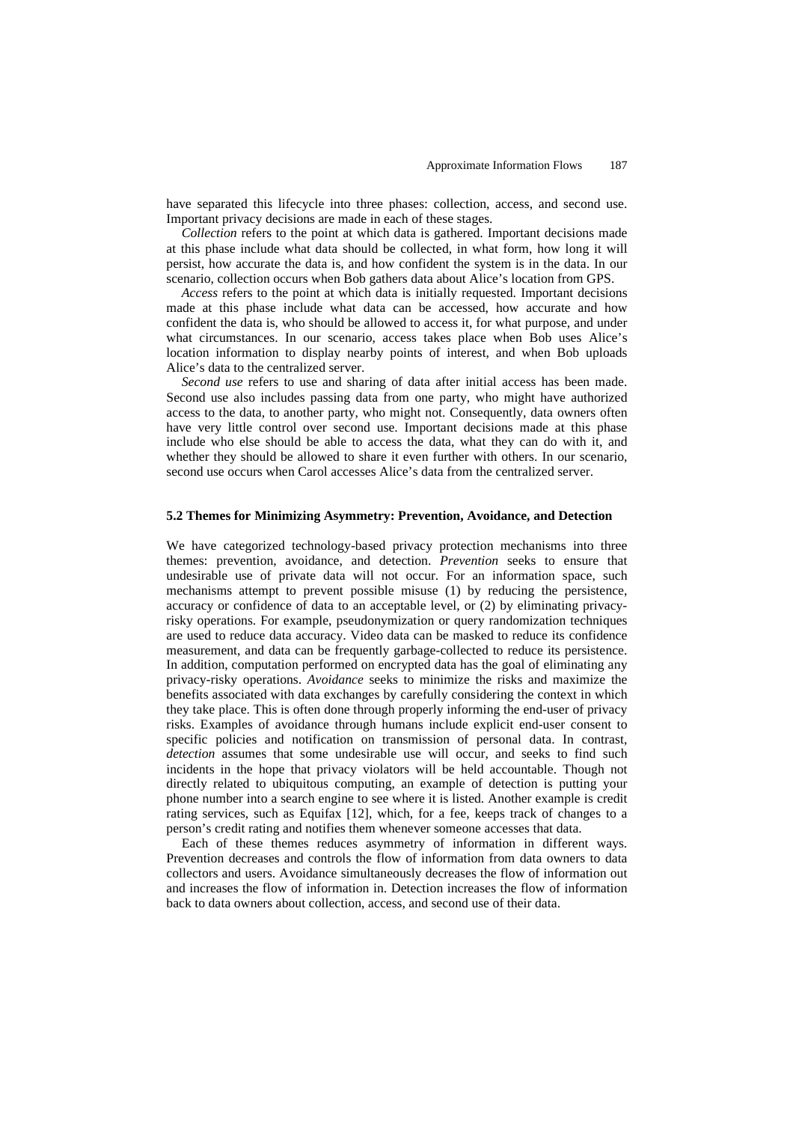have separated this lifecycle into three phases: collection, access, and second use. Important privacy decisions are made in each of these stages.

*Collection* refers to the point at which data is gathered. Important decisions made at this phase include what data should be collected, in what form, how long it will persist, how accurate the data is, and how confident the system is in the data. In our scenario, collection occurs when Bob gathers data about Alice's location from GPS.

*Access* refers to the point at which data is initially requested. Important decisions made at this phase include what data can be accessed, how accurate and how confident the data is, who should be allowed to access it, for what purpose, and under what circumstances. In our scenario, access takes place when Bob uses Alice's location information to display nearby points of interest, and when Bob uploads Alice's data to the centralized server.

*Second use* refers to use and sharing of data after initial access has been made. Second use also includes passing data from one party, who might have authorized access to the data, to another party, who might not. Consequently, data owners often have very little control over second use. Important decisions made at this phase include who else should be able to access the data, what they can do with it, and whether they should be allowed to share it even further with others. In our scenario, second use occurs when Carol accesses Alice's data from the centralized server.

#### **5.2 Themes for Minimizing Asymmetry: Prevention, Avoidance, and Detection**

We have categorized technology-based privacy protection mechanisms into three themes: prevention, avoidance, and detection. *Prevention* seeks to ensure that undesirable use of private data will not occur. For an information space, such mechanisms attempt to prevent possible misuse (1) by reducing the persistence, accuracy or confidence of data to an acceptable level, or (2) by eliminating privacyrisky operations. For example, pseudonymization or query randomization techniques are used to reduce data accuracy. Video data can be masked to reduce its confidence measurement, and data can be frequently garbage-collected to reduce its persistence. In addition, computation performed on encrypted data has the goal of eliminating any privacy-risky operations. *Avoidance* seeks to minimize the risks and maximize the benefits associated with data exchanges by carefully considering the context in which they take place. This is often done through properly informing the end-user of privacy risks. Examples of avoidance through humans include explicit end-user consent to specific policies and notification on transmission of personal data. In contrast, *detection* assumes that some undesirable use will occur, and seeks to find such incidents in the hope that privacy violators will be held accountable. Though not directly related to ubiquitous computing, an example of detection is putting your phone number into a search engine to see where it is listed. Another example is credit rating services, such as Equifax [12], which, for a fee, keeps track of changes to a person's credit rating and notifies them whenever someone accesses that data.

Each of these themes reduces asymmetry of information in different ways. Prevention decreases and controls the flow of information from data owners to data collectors and users. Avoidance simultaneously decreases the flow of information out and increases the flow of information in. Detection increases the flow of information back to data owners about collection, access, and second use of their data.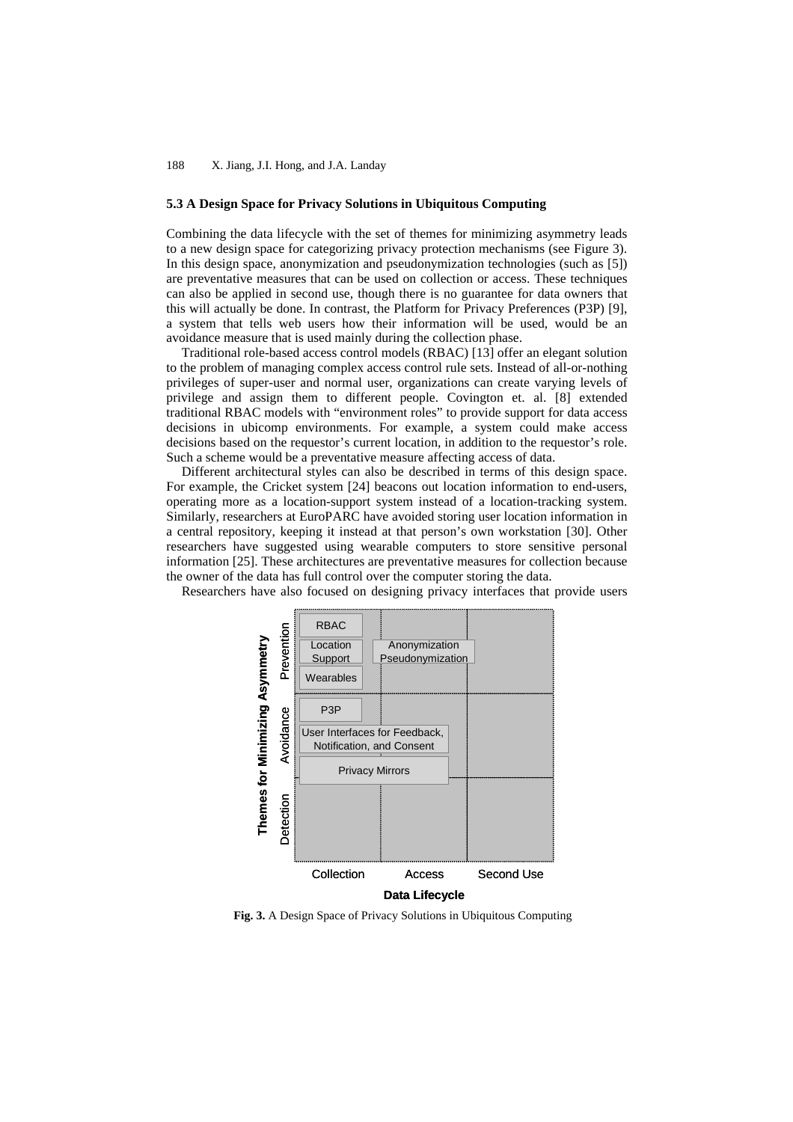#### **5.3 A Design Space for Privacy Solutions in Ubiquitous Computing**

Combining the data lifecycle with the set of themes for minimizing asymmetry leads to a new design space for categorizing privacy protection mechanisms (see Figure 3). In this design space, anonymization and pseudonymization technologies (such as [5]) are preventative measures that can be used on collection or access. These techniques can also be applied in second use, though there is no guarantee for data owners that this will actually be done. In contrast, the Platform for Privacy Preferences (P3P) [9], a system that tells web users how their information will be used, would be an avoidance measure that is used mainly during the collection phase.

Traditional role-based access control models (RBAC) [13] offer an elegant solution to the problem of managing complex access control rule sets. Instead of all-or-nothing privileges of super-user and normal user, organizations can create varying levels of privilege and assign them to different people. Covington et. al. [8] extended traditional RBAC models with "environment roles" to provide support for data access decisions in ubicomp environments. For example, a system could make access decisions based on the requestor's current location, in addition to the requestor's role. Such a scheme would be a preventative measure affecting access of data.

Different architectural styles can also be described in terms of this design space. For example, the Cricket system [24] beacons out location information to end-users, operating more as a location-support system instead of a location-tracking system. Similarly, researchers at EuroPARC have avoided storing user location information in a central repository, keeping it instead at that person's own workstation [30]. Other researchers have suggested using wearable computers to store sensitive personal information [25]. These architectures are preventative measures for collection because the owner of the data has full control over the computer storing the data.

Researchers have also focused on designing privacy interfaces that provide users



**Fig. 3.** A Design Space of Privacy Solutions in Ubiquitous Computing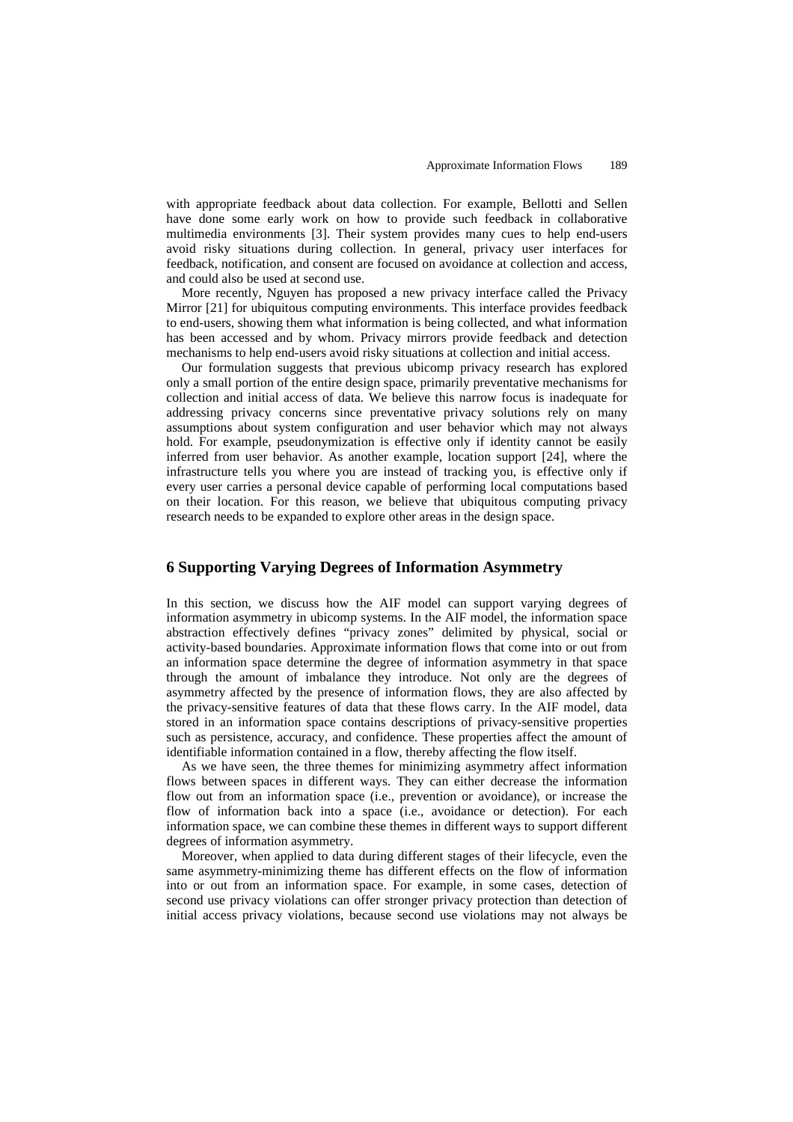with appropriate feedback about data collection. For example, Bellotti and Sellen have done some early work on how to provide such feedback in collaborative multimedia environments [3]. Their system provides many cues to help end-users avoid risky situations during collection. In general, privacy user interfaces for feedback, notification, and consent are focused on avoidance at collection and access, and could also be used at second use.

More recently, Nguyen has proposed a new privacy interface called the Privacy Mirror [21] for ubiquitous computing environments. This interface provides feedback to end-users, showing them what information is being collected, and what information has been accessed and by whom. Privacy mirrors provide feedback and detection mechanisms to help end-users avoid risky situations at collection and initial access.

Our formulation suggests that previous ubicomp privacy research has explored only a small portion of the entire design space, primarily preventative mechanisms for collection and initial access of data. We believe this narrow focus is inadequate for addressing privacy concerns since preventative privacy solutions rely on many assumptions about system configuration and user behavior which may not always hold. For example, pseudonymization is effective only if identity cannot be easily inferred from user behavior. As another example, location support [24], where the infrastructure tells you where you are instead of tracking you, is effective only if every user carries a personal device capable of performing local computations based on their location. For this reason, we believe that ubiquitous computing privacy research needs to be expanded to explore other areas in the design space.

### **6 Supporting Varying Degrees of Information Asymmetry**

In this section, we discuss how the AIF model can support varying degrees of information asymmetry in ubicomp systems. In the AIF model, the information space abstraction effectively defines "privacy zones" delimited by physical, social or activity-based boundaries. Approximate information flows that come into or out from an information space determine the degree of information asymmetry in that space through the amount of imbalance they introduce. Not only are the degrees of asymmetry affected by the presence of information flows, they are also affected by the privacy-sensitive features of data that these flows carry. In the AIF model, data stored in an information space contains descriptions of privacy-sensitive properties such as persistence, accuracy, and confidence. These properties affect the amount of identifiable information contained in a flow, thereby affecting the flow itself.

As we have seen, the three themes for minimizing asymmetry affect information flows between spaces in different ways. They can either decrease the information flow out from an information space (i.e., prevention or avoidance), or increase the flow of information back into a space (i.e., avoidance or detection). For each information space, we can combine these themes in different ways to support different degrees of information asymmetry.

Moreover, when applied to data during different stages of their lifecycle, even the same asymmetry-minimizing theme has different effects on the flow of information into or out from an information space. For example, in some cases, detection of second use privacy violations can offer stronger privacy protection than detection of initial access privacy violations, because second use violations may not always be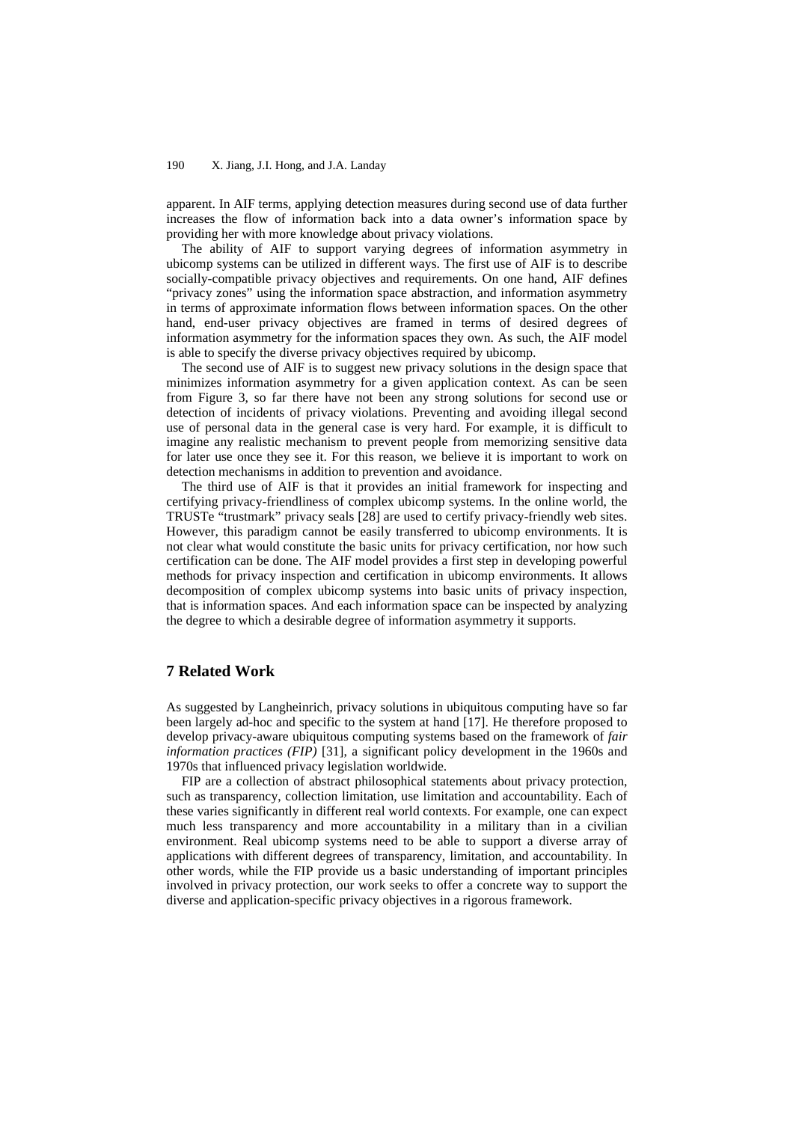apparent. In AIF terms, applying detection measures during second use of data further increases the flow of information back into a data owner's information space by providing her with more knowledge about privacy violations.

The ability of AIF to support varying degrees of information asymmetry in ubicomp systems can be utilized in different ways. The first use of AIF is to describe socially-compatible privacy objectives and requirements. On one hand, AIF defines "privacy zones" using the information space abstraction, and information asymmetry in terms of approximate information flows between information spaces. On the other hand, end-user privacy objectives are framed in terms of desired degrees of information asymmetry for the information spaces they own. As such, the AIF model is able to specify the diverse privacy objectives required by ubicomp.

The second use of AIF is to suggest new privacy solutions in the design space that minimizes information asymmetry for a given application context. As can be seen from Figure 3, so far there have not been any strong solutions for second use or detection of incidents of privacy violations. Preventing and avoiding illegal second use of personal data in the general case is very hard. For example, it is difficult to imagine any realistic mechanism to prevent people from memorizing sensitive data for later use once they see it. For this reason, we believe it is important to work on detection mechanisms in addition to prevention and avoidance.

The third use of AIF is that it provides an initial framework for inspecting and certifying privacy-friendliness of complex ubicomp systems. In the online world, the TRUSTe "trustmark" privacy seals [28] are used to certify privacy-friendly web sites. However, this paradigm cannot be easily transferred to ubicomp environments. It is not clear what would constitute the basic units for privacy certification, nor how such certification can be done. The AIF model provides a first step in developing powerful methods for privacy inspection and certification in ubicomp environments. It allows decomposition of complex ubicomp systems into basic units of privacy inspection, that is information spaces. And each information space can be inspected by analyzing the degree to which a desirable degree of information asymmetry it supports.

### **7 Related Work**

As suggested by Langheinrich, privacy solutions in ubiquitous computing have so far been largely ad-hoc and specific to the system at hand [17]. He therefore proposed to develop privacy-aware ubiquitous computing systems based on the framework of *fair information practices (FIP)* [31], a significant policy development in the 1960s and 1970s that influenced privacy legislation worldwide.

FIP are a collection of abstract philosophical statements about privacy protection, such as transparency, collection limitation, use limitation and accountability. Each of these varies significantly in different real world contexts. For example, one can expect much less transparency and more accountability in a military than in a civilian environment. Real ubicomp systems need to be able to support a diverse array of applications with different degrees of transparency, limitation, and accountability. In other words, while the FIP provide us a basic understanding of important principles involved in privacy protection, our work seeks to offer a concrete way to support the diverse and application-specific privacy objectives in a rigorous framework.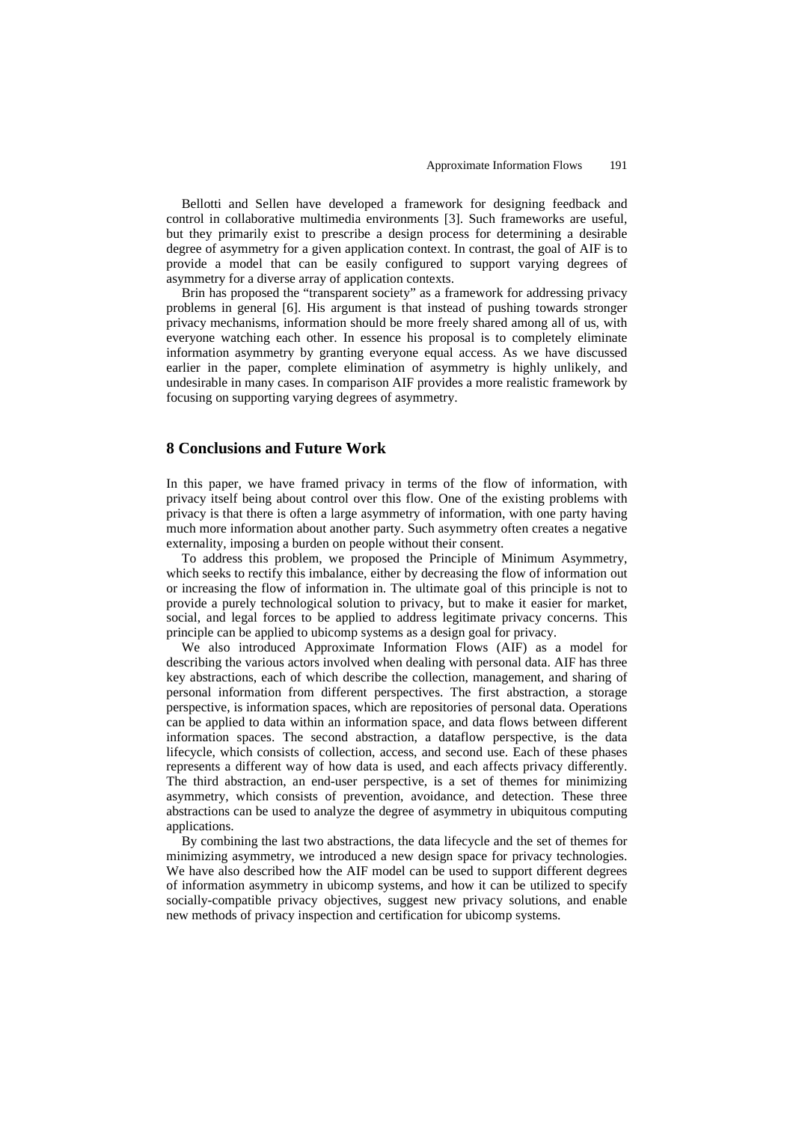Bellotti and Sellen have developed a framework for designing feedback and control in collaborative multimedia environments [3]. Such frameworks are useful, but they primarily exist to prescribe a design process for determining a desirable degree of asymmetry for a given application context. In contrast, the goal of AIF is to provide a model that can be easily configured to support varying degrees of asymmetry for a diverse array of application contexts.

Brin has proposed the "transparent society" as a framework for addressing privacy problems in general [6]. His argument is that instead of pushing towards stronger privacy mechanisms, information should be more freely shared among all of us, with everyone watching each other. In essence his proposal is to completely eliminate information asymmetry by granting everyone equal access. As we have discussed earlier in the paper, complete elimination of asymmetry is highly unlikely, and undesirable in many cases. In comparison AIF provides a more realistic framework by focusing on supporting varying degrees of asymmetry.

### **8 Conclusions and Future Work**

In this paper, we have framed privacy in terms of the flow of information, with privacy itself being about control over this flow. One of the existing problems with privacy is that there is often a large asymmetry of information, with one party having much more information about another party. Such asymmetry often creates a negative externality, imposing a burden on people without their consent.

To address this problem, we proposed the Principle of Minimum Asymmetry, which seeks to rectify this imbalance, either by decreasing the flow of information out or increasing the flow of information in. The ultimate goal of this principle is not to provide a purely technological solution to privacy, but to make it easier for market, social, and legal forces to be applied to address legitimate privacy concerns. This principle can be applied to ubicomp systems as a design goal for privacy.

We also introduced Approximate Information Flows (AIF) as a model for describing the various actors involved when dealing with personal data. AIF has three key abstractions, each of which describe the collection, management, and sharing of personal information from different perspectives. The first abstraction, a storage perspective, is information spaces, which are repositories of personal data. Operations can be applied to data within an information space, and data flows between different information spaces. The second abstraction, a dataflow perspective, is the data lifecycle, which consists of collection, access, and second use. Each of these phases represents a different way of how data is used, and each affects privacy differently. The third abstraction, an end-user perspective, is a set of themes for minimizing asymmetry, which consists of prevention, avoidance, and detection. These three abstractions can be used to analyze the degree of asymmetry in ubiquitous computing applications.

By combining the last two abstractions, the data lifecycle and the set of themes for minimizing asymmetry, we introduced a new design space for privacy technologies. We have also described how the AIF model can be used to support different degrees of information asymmetry in ubicomp systems, and how it can be utilized to specify socially-compatible privacy objectives, suggest new privacy solutions, and enable new methods of privacy inspection and certification for ubicomp systems.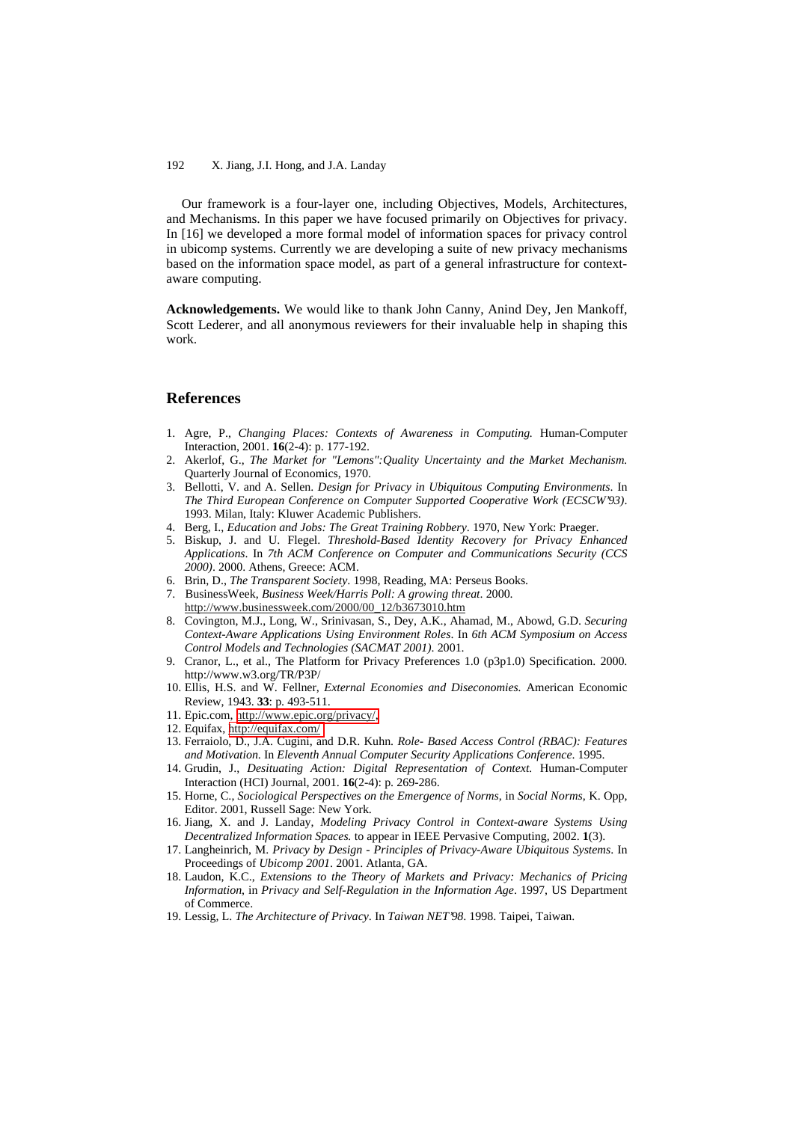Our framework is a four-layer one, including Objectives, Models, Architectures, and Mechanisms. In this paper we have focused primarily on Objectives for privacy. In [16] we developed a more formal model of information spaces for privacy control in ubicomp systems. Currently we are developing a suite of new privacy mechanisms based on the information space model, as part of a general infrastructure for contextaware computing.

**Acknowledgements.** We would like to thank John Canny, Anind Dey, Jen Mankoff, Scott Lederer, and all anonymous reviewers for their invaluable help in shaping this work.

# **References**

- 1. Agre, P., *Changing Places: Contexts of Awareness in Computing.* Human-Computer Interaction, 2001. **16**(2-4): p. 177-192.
- 2. Akerlof, G., *The Market for "Lemons":Quality Uncertainty and the Market Mechanism.* Quarterly Journal of Economics, 1970.
- 3. Bellotti, V. and A. Sellen. *Design for Privacy in Ubiquitous Computing Environments*. In *The Third European Conference on Computer Supported Cooperative Work (ECSCW'93)*. 1993. Milan, Italy: Kluwer Academic Publishers.
- 4. Berg, I., *Education and Jobs: The Great Training Robbery*. 1970, New York: Praeger.
- 5. Biskup, J. and U. Flegel. *Threshold-Based Identity Recovery for Privacy Enhanced Applications*. In *7th ACM Conference on Computer and Communications Security (CCS 2000)*. 2000. Athens, Greece: ACM.
- 6. Brin, D., *The Transparent Society*. 1998, Reading, MA: Perseus Books.
- 7. BusinessWeek, *Business Week/Harris Poll: A growing threat*. 2000. http://www.businessweek.com/2000/00\_12/b3673010.htm
- 8. Covington, M.J., Long, W., Srinivasan, S., Dey, A.K., Ahamad, M., Abowd, G.D. *Securing Context-Aware Applications Using Environment Roles*. In *6th ACM Symposium on Access Control Models and Technologies (SACMAT 2001)*. 2001.
- 9. Cranor, L., et al., The Platform for Privacy Preferences 1.0 (p3p1.0) Specification. 2000. http://www.w3.org/TR/P3P/
- 10. Ellis, H.S. and W. Fellner, *External Economies and Diseconomies.* American Economic Review, 1943. **33**: p. 493-511.
- 11. Epic.com, [http://www.epic.org/privacy/,](http://www.epic.org/privacy/)
- 12. Equifax, <http://equifax.com/>
- 13. Ferraiolo, D., J.A. Cugini, and D.R. Kuhn. *Role- Based Access Control (RBAC): Features and Motivation*. In *Eleventh Annual Computer Security Applications Conference*. 1995.
- 14. Grudin, J., *Desituating Action: Digital Representation of Context.* Human-Computer Interaction (HCI) Journal, 2001. **16**(2-4): p. 269-286.
- 15. Horne, C., *Sociological Perspectives on the Emergence of Norms*, in *Social Norms*, K. Opp, Editor. 2001, Russell Sage: New York.
- 16. Jiang, X. and J. Landay, *Modeling Privacy Control in Context-aware Systems Using Decentralized Information Spaces.* to appear in IEEE Pervasive Computing, 2002. **1**(3).
- 17. Langheinrich, M. *Privacy by Design Principles of Privacy-Aware Ubiquitous Systems*. In Proceedings of *Ubicomp 2001*. 2001. Atlanta, GA.
- 18. Laudon, K.C., *Extensions to the Theory of Markets and Privacy: Mechanics of Pricing Information*, in *Privacy and Self-Regulation in the Information Age*. 1997, US Department of Commerce.
- 19. Lessig, L. *The Architecture of Privacy*. In *Taiwan NET'98*. 1998. Taipei, Taiwan.